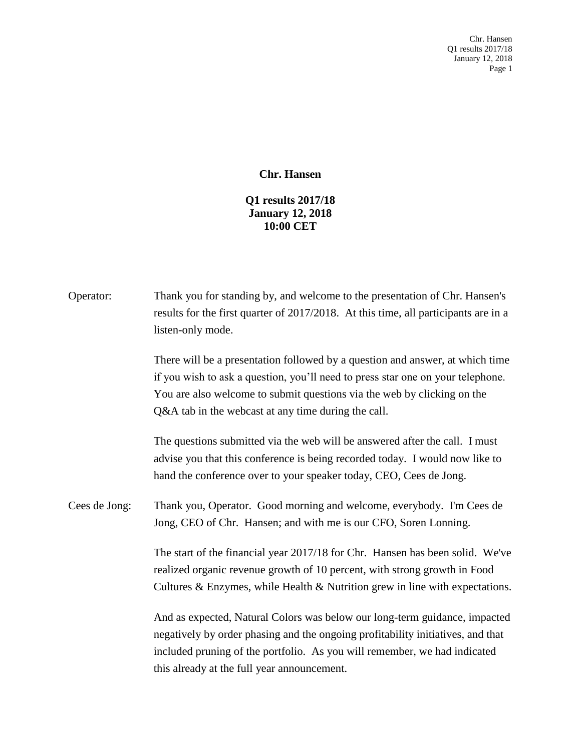Chr. Hansen Q1 results 2017/18 January 12, 2018 Page 1

## **Chr. Hansen**

## **Q1 results 2017/18 January 12, 2018 10:00 CET**

| Operator:     | Thank you for standing by, and welcome to the presentation of Chr. Hansen's<br>results for the first quarter of 2017/2018. At this time, all participants are in a<br>listen-only mode.                                                                                                            |
|---------------|----------------------------------------------------------------------------------------------------------------------------------------------------------------------------------------------------------------------------------------------------------------------------------------------------|
|               | There will be a presentation followed by a question and answer, at which time<br>if you wish to ask a question, you'll need to press star one on your telephone.<br>You are also welcome to submit questions via the web by clicking on the<br>Q&A tab in the webcast at any time during the call. |
|               | The questions submitted via the web will be answered after the call. I must<br>advise you that this conference is being recorded today. I would now like to<br>hand the conference over to your speaker today, CEO, Cees de Jong.                                                                  |
| Cees de Jong: | Thank you, Operator. Good morning and welcome, everybody. I'm Cees de<br>Jong, CEO of Chr. Hansen; and with me is our CFO, Soren Lonning.                                                                                                                                                          |
|               | The start of the financial year 2017/18 for Chr. Hansen has been solid. We've<br>realized organic revenue growth of 10 percent, with strong growth in Food<br>Cultures $\&$ Enzymes, while Health $\&$ Nutrition grew in line with expectations.                                                   |
|               | And as expected, Natural Colors was below our long-term guidance, impacted<br>negatively by order phasing and the ongoing profitability initiatives, and that<br>included pruning of the portfolio. As you will remember, we had indicated<br>this already at the full year announcement.          |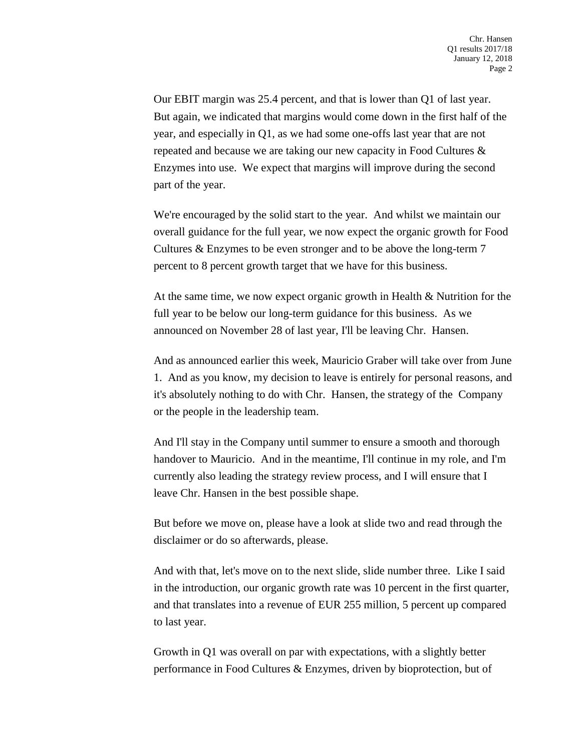Our EBIT margin was 25.4 percent, and that is lower than Q1 of last year. But again, we indicated that margins would come down in the first half of the year, and especially in Q1, as we had some one-offs last year that are not repeated and because we are taking our new capacity in Food Cultures & Enzymes into use. We expect that margins will improve during the second part of the year.

We're encouraged by the solid start to the year. And whilst we maintain our overall guidance for the full year, we now expect the organic growth for Food Cultures & Enzymes to be even stronger and to be above the long-term 7 percent to 8 percent growth target that we have for this business.

At the same time, we now expect organic growth in Health & Nutrition for the full year to be below our long-term guidance for this business. As we announced on November 28 of last year, I'll be leaving Chr. Hansen.

And as announced earlier this week, Mauricio Graber will take over from June 1. And as you know, my decision to leave is entirely for personal reasons, and it's absolutely nothing to do with Chr. Hansen, the strategy of the Company or the people in the leadership team.

And I'll stay in the Company until summer to ensure a smooth and thorough handover to Mauricio. And in the meantime, I'll continue in my role, and I'm currently also leading the strategy review process, and I will ensure that I leave Chr. Hansen in the best possible shape.

But before we move on, please have a look at slide two and read through the disclaimer or do so afterwards, please.

And with that, let's move on to the next slide, slide number three. Like I said in the introduction, our organic growth rate was 10 percent in the first quarter, and that translates into a revenue of EUR 255 million, 5 percent up compared to last year.

Growth in Q1 was overall on par with expectations, with a slightly better performance in Food Cultures & Enzymes, driven by bioprotection, but of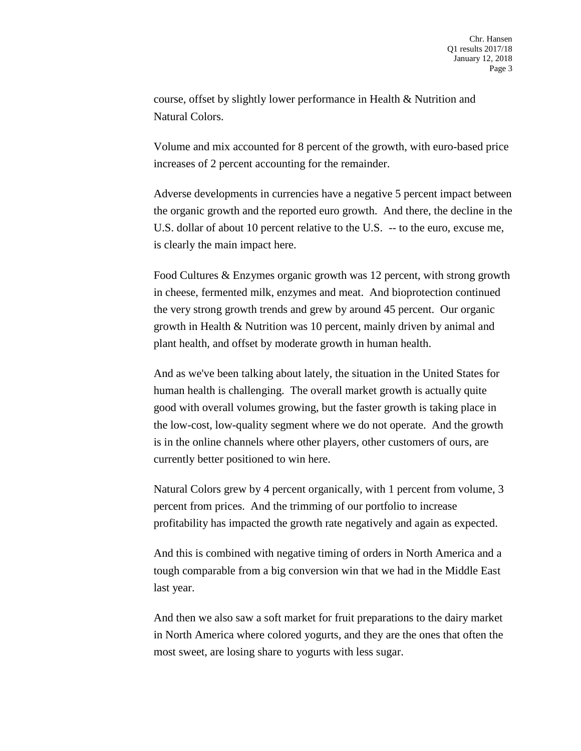course, offset by slightly lower performance in Health & Nutrition and Natural Colors.

Volume and mix accounted for 8 percent of the growth, with euro-based price increases of 2 percent accounting for the remainder.

Adverse developments in currencies have a negative 5 percent impact between the organic growth and the reported euro growth. And there, the decline in the U.S. dollar of about 10 percent relative to the U.S. -- to the euro, excuse me, is clearly the main impact here.

Food Cultures & Enzymes organic growth was 12 percent, with strong growth in cheese, fermented milk, enzymes and meat. And bioprotection continued the very strong growth trends and grew by around 45 percent. Our organic growth in Health & Nutrition was 10 percent, mainly driven by animal and plant health, and offset by moderate growth in human health.

And as we've been talking about lately, the situation in the United States for human health is challenging. The overall market growth is actually quite good with overall volumes growing, but the faster growth is taking place in the low-cost, low-quality segment where we do not operate. And the growth is in the online channels where other players, other customers of ours, are currently better positioned to win here.

Natural Colors grew by 4 percent organically, with 1 percent from volume, 3 percent from prices. And the trimming of our portfolio to increase profitability has impacted the growth rate negatively and again as expected.

And this is combined with negative timing of orders in North America and a tough comparable from a big conversion win that we had in the Middle East last year.

And then we also saw a soft market for fruit preparations to the dairy market in North America where colored yogurts, and they are the ones that often the most sweet, are losing share to yogurts with less sugar.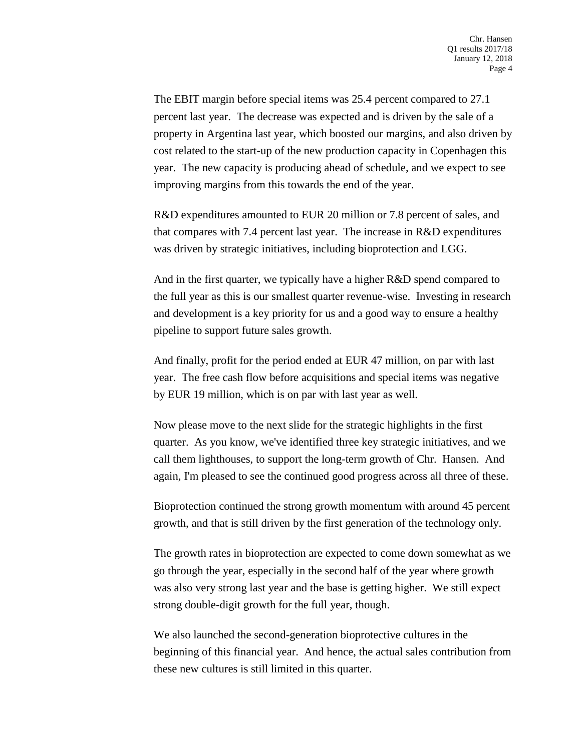The EBIT margin before special items was 25.4 percent compared to 27.1 percent last year. The decrease was expected and is driven by the sale of a property in Argentina last year, which boosted our margins, and also driven by cost related to the start-up of the new production capacity in Copenhagen this year. The new capacity is producing ahead of schedule, and we expect to see improving margins from this towards the end of the year.

R&D expenditures amounted to EUR 20 million or 7.8 percent of sales, and that compares with 7.4 percent last year. The increase in R&D expenditures was driven by strategic initiatives, including bioprotection and LGG.

And in the first quarter, we typically have a higher R&D spend compared to the full year as this is our smallest quarter revenue-wise. Investing in research and development is a key priority for us and a good way to ensure a healthy pipeline to support future sales growth.

And finally, profit for the period ended at EUR 47 million, on par with last year. The free cash flow before acquisitions and special items was negative by EUR 19 million, which is on par with last year as well.

Now please move to the next slide for the strategic highlights in the first quarter. As you know, we've identified three key strategic initiatives, and we call them lighthouses, to support the long-term growth of Chr. Hansen. And again, I'm pleased to see the continued good progress across all three of these.

Bioprotection continued the strong growth momentum with around 45 percent growth, and that is still driven by the first generation of the technology only.

The growth rates in bioprotection are expected to come down somewhat as we go through the year, especially in the second half of the year where growth was also very strong last year and the base is getting higher. We still expect strong double-digit growth for the full year, though.

We also launched the second-generation bioprotective cultures in the beginning of this financial year. And hence, the actual sales contribution from these new cultures is still limited in this quarter.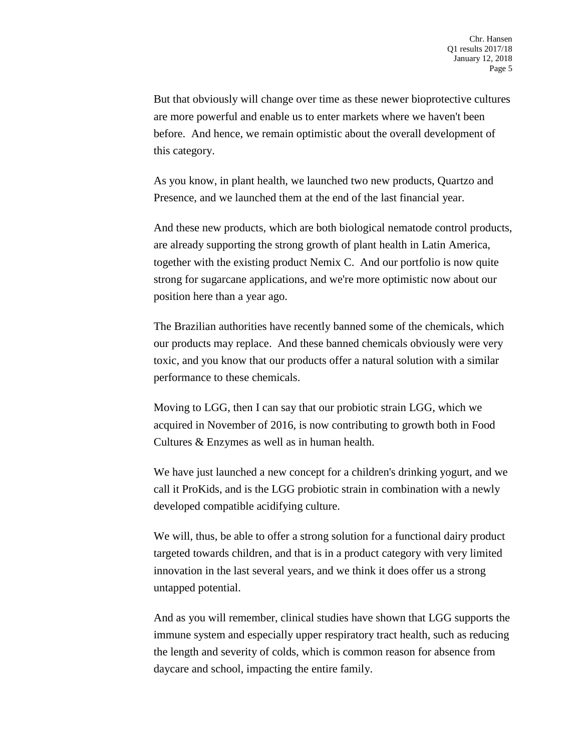But that obviously will change over time as these newer bioprotective cultures are more powerful and enable us to enter markets where we haven't been before. And hence, we remain optimistic about the overall development of this category.

As you know, in plant health, we launched two new products, Quartzo and Presence, and we launched them at the end of the last financial year.

And these new products, which are both biological nematode control products, are already supporting the strong growth of plant health in Latin America, together with the existing product Nemix C. And our portfolio is now quite strong for sugarcane applications, and we're more optimistic now about our position here than a year ago.

The Brazilian authorities have recently banned some of the chemicals, which our products may replace. And these banned chemicals obviously were very toxic, and you know that our products offer a natural solution with a similar performance to these chemicals.

Moving to LGG, then I can say that our probiotic strain LGG, which we acquired in November of 2016, is now contributing to growth both in Food Cultures & Enzymes as well as in human health.

We have just launched a new concept for a children's drinking yogurt, and we call it ProKids, and is the LGG probiotic strain in combination with a newly developed compatible acidifying culture.

We will, thus, be able to offer a strong solution for a functional dairy product targeted towards children, and that is in a product category with very limited innovation in the last several years, and we think it does offer us a strong untapped potential.

And as you will remember, clinical studies have shown that LGG supports the immune system and especially upper respiratory tract health, such as reducing the length and severity of colds, which is common reason for absence from daycare and school, impacting the entire family.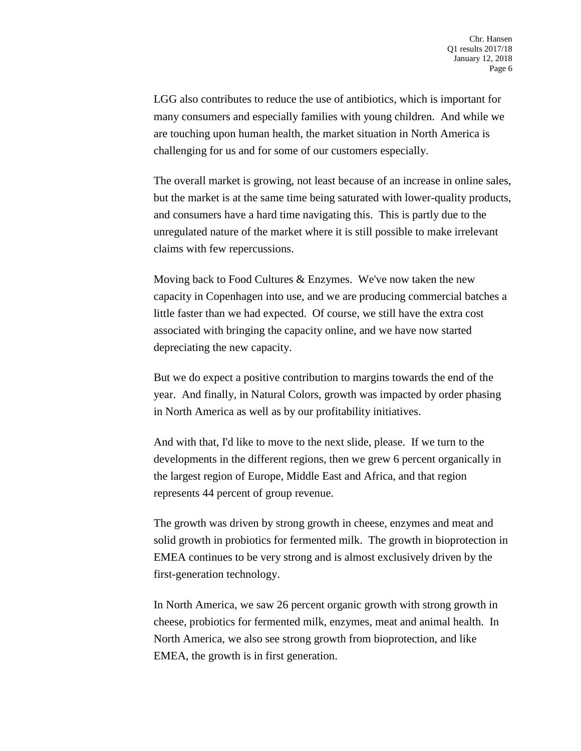LGG also contributes to reduce the use of antibiotics, which is important for many consumers and especially families with young children. And while we are touching upon human health, the market situation in North America is challenging for us and for some of our customers especially.

The overall market is growing, not least because of an increase in online sales, but the market is at the same time being saturated with lower-quality products, and consumers have a hard time navigating this. This is partly due to the unregulated nature of the market where it is still possible to make irrelevant claims with few repercussions.

Moving back to Food Cultures & Enzymes. We've now taken the new capacity in Copenhagen into use, and we are producing commercial batches a little faster than we had expected. Of course, we still have the extra cost associated with bringing the capacity online, and we have now started depreciating the new capacity.

But we do expect a positive contribution to margins towards the end of the year. And finally, in Natural Colors, growth was impacted by order phasing in North America as well as by our profitability initiatives.

And with that, I'd like to move to the next slide, please. If we turn to the developments in the different regions, then we grew 6 percent organically in the largest region of Europe, Middle East and Africa, and that region represents 44 percent of group revenue.

The growth was driven by strong growth in cheese, enzymes and meat and solid growth in probiotics for fermented milk. The growth in bioprotection in EMEA continues to be very strong and is almost exclusively driven by the first-generation technology.

In North America, we saw 26 percent organic growth with strong growth in cheese, probiotics for fermented milk, enzymes, meat and animal health. In North America, we also see strong growth from bioprotection, and like EMEA, the growth is in first generation.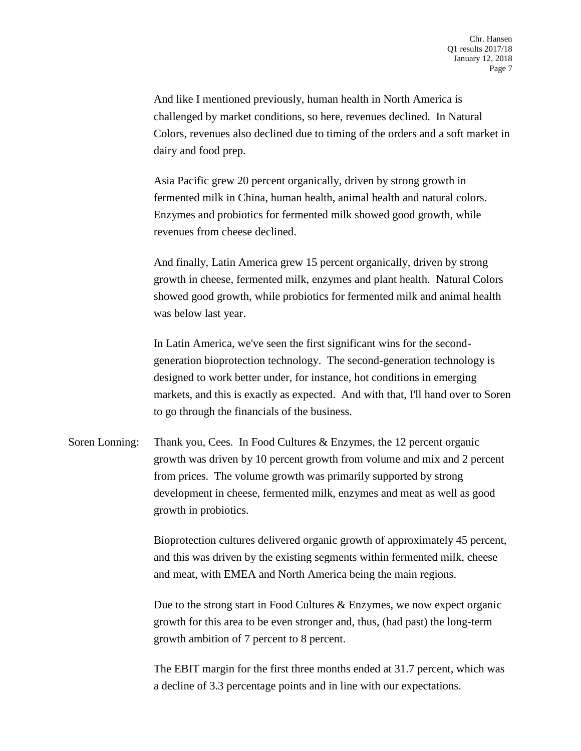And like I mentioned previously, human health in North America is challenged by market conditions, so here, revenues declined. In Natural Colors, revenues also declined due to timing of the orders and a soft market in dairy and food prep.

Asia Pacific grew 20 percent organically, driven by strong growth in fermented milk in China, human health, animal health and natural colors. Enzymes and probiotics for fermented milk showed good growth, while revenues from cheese declined.

And finally, Latin America grew 15 percent organically, driven by strong growth in cheese, fermented milk, enzymes and plant health. Natural Colors showed good growth, while probiotics for fermented milk and animal health was below last year.

In Latin America, we've seen the first significant wins for the secondgeneration bioprotection technology. The second-generation technology is designed to work better under, for instance, hot conditions in emerging markets, and this is exactly as expected. And with that, I'll hand over to Soren to go through the financials of the business.

Soren Lonning: Thank you, Cees. In Food Cultures & Enzymes, the 12 percent organic growth was driven by 10 percent growth from volume and mix and 2 percent from prices. The volume growth was primarily supported by strong development in cheese, fermented milk, enzymes and meat as well as good growth in probiotics.

> Bioprotection cultures delivered organic growth of approximately 45 percent, and this was driven by the existing segments within fermented milk, cheese and meat, with EMEA and North America being the main regions.

Due to the strong start in Food Cultures & Enzymes, we now expect organic growth for this area to be even stronger and, thus, (had past) the long-term growth ambition of 7 percent to 8 percent.

The EBIT margin for the first three months ended at 31.7 percent, which was a decline of 3.3 percentage points and in line with our expectations.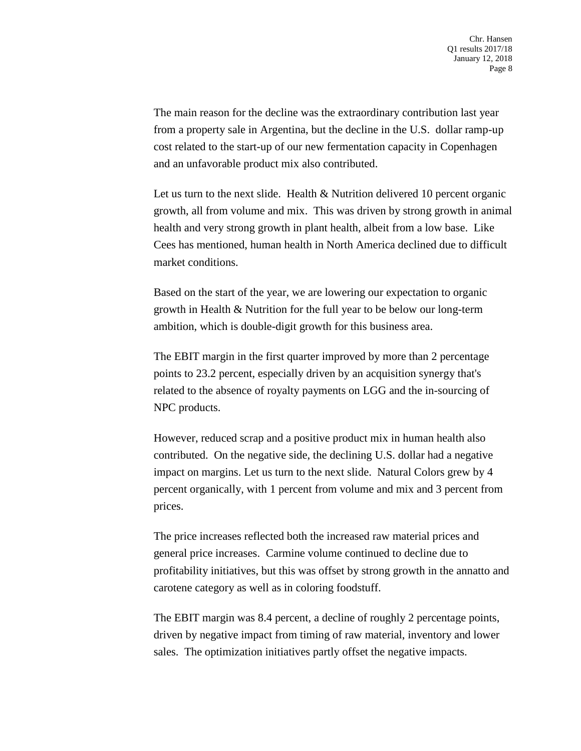The main reason for the decline was the extraordinary contribution last year from a property sale in Argentina, but the decline in the U.S. dollar ramp-up cost related to the start-up of our new fermentation capacity in Copenhagen and an unfavorable product mix also contributed.

Let us turn to the next slide. Health & Nutrition delivered 10 percent organic growth, all from volume and mix. This was driven by strong growth in animal health and very strong growth in plant health, albeit from a low base. Like Cees has mentioned, human health in North America declined due to difficult market conditions.

Based on the start of the year, we are lowering our expectation to organic growth in Health & Nutrition for the full year to be below our long-term ambition, which is double-digit growth for this business area.

The EBIT margin in the first quarter improved by more than 2 percentage points to 23.2 percent, especially driven by an acquisition synergy that's related to the absence of royalty payments on LGG and the in-sourcing of NPC products.

However, reduced scrap and a positive product mix in human health also contributed. On the negative side, the declining U.S. dollar had a negative impact on margins. Let us turn to the next slide. Natural Colors grew by 4 percent organically, with 1 percent from volume and mix and 3 percent from prices.

The price increases reflected both the increased raw material prices and general price increases. Carmine volume continued to decline due to profitability initiatives, but this was offset by strong growth in the annatto and carotene category as well as in coloring foodstuff.

The EBIT margin was 8.4 percent, a decline of roughly 2 percentage points, driven by negative impact from timing of raw material, inventory and lower sales. The optimization initiatives partly offset the negative impacts.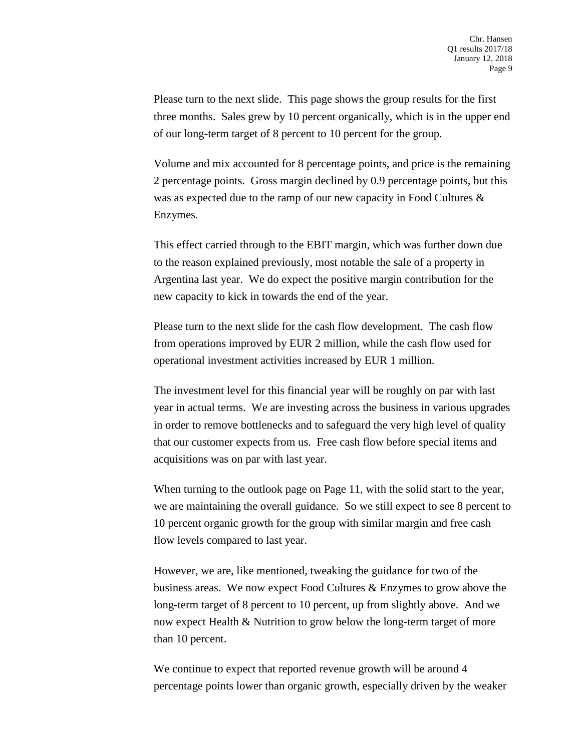Please turn to the next slide. This page shows the group results for the first three months. Sales grew by 10 percent organically, which is in the upper end of our long-term target of 8 percent to 10 percent for the group.

Volume and mix accounted for 8 percentage points, and price is the remaining 2 percentage points. Gross margin declined by 0.9 percentage points, but this was as expected due to the ramp of our new capacity in Food Cultures & Enzymes.

This effect carried through to the EBIT margin, which was further down due to the reason explained previously, most notable the sale of a property in Argentina last year. We do expect the positive margin contribution for the new capacity to kick in towards the end of the year.

Please turn to the next slide for the cash flow development. The cash flow from operations improved by EUR 2 million, while the cash flow used for operational investment activities increased by EUR 1 million.

The investment level for this financial year will be roughly on par with last year in actual terms. We are investing across the business in various upgrades in order to remove bottlenecks and to safeguard the very high level of quality that our customer expects from us. Free cash flow before special items and acquisitions was on par with last year.

When turning to the outlook page on Page 11, with the solid start to the year, we are maintaining the overall guidance. So we still expect to see 8 percent to 10 percent organic growth for the group with similar margin and free cash flow levels compared to last year.

However, we are, like mentioned, tweaking the guidance for two of the business areas. We now expect Food Cultures & Enzymes to grow above the long-term target of 8 percent to 10 percent, up from slightly above. And we now expect Health & Nutrition to grow below the long-term target of more than 10 percent.

We continue to expect that reported revenue growth will be around 4 percentage points lower than organic growth, especially driven by the weaker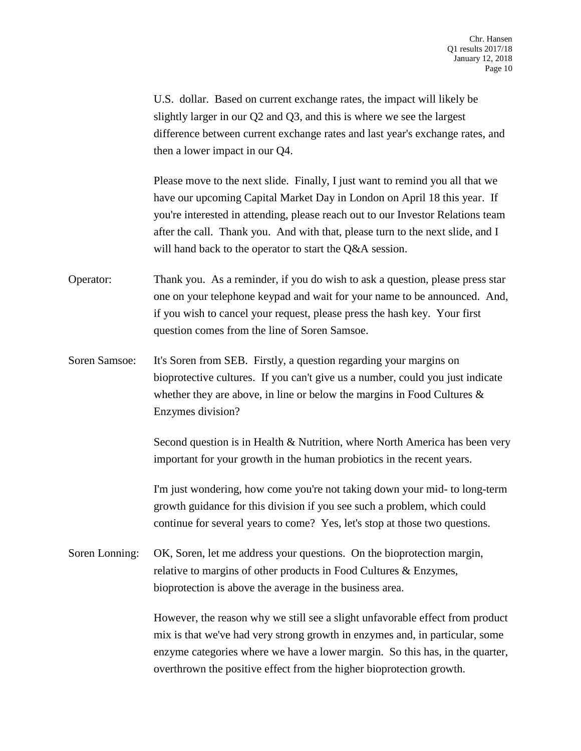U.S. dollar. Based on current exchange rates, the impact will likely be slightly larger in our Q2 and Q3, and this is where we see the largest difference between current exchange rates and last year's exchange rates, and then a lower impact in our Q4.

Please move to the next slide. Finally, I just want to remind you all that we have our upcoming Capital Market Day in London on April 18 this year. If you're interested in attending, please reach out to our Investor Relations team after the call. Thank you. And with that, please turn to the next slide, and I will hand back to the operator to start the Q&A session.

Operator: Thank you. As a reminder, if you do wish to ask a question, please press star one on your telephone keypad and wait for your name to be announced. And, if you wish to cancel your request, please press the hash key. Your first question comes from the line of Soren Samsoe.

Soren Samsoe: It's Soren from SEB. Firstly, a question regarding your margins on bioprotective cultures. If you can't give us a number, could you just indicate whether they are above, in line or below the margins in Food Cultures & Enzymes division?

> Second question is in Health & Nutrition, where North America has been very important for your growth in the human probiotics in the recent years.

> I'm just wondering, how come you're not taking down your mid- to long-term growth guidance for this division if you see such a problem, which could continue for several years to come? Yes, let's stop at those two questions.

Soren Lonning: OK, Soren, let me address your questions. On the bioprotection margin, relative to margins of other products in Food Cultures & Enzymes, bioprotection is above the average in the business area.

> However, the reason why we still see a slight unfavorable effect from product mix is that we've had very strong growth in enzymes and, in particular, some enzyme categories where we have a lower margin. So this has, in the quarter, overthrown the positive effect from the higher bioprotection growth.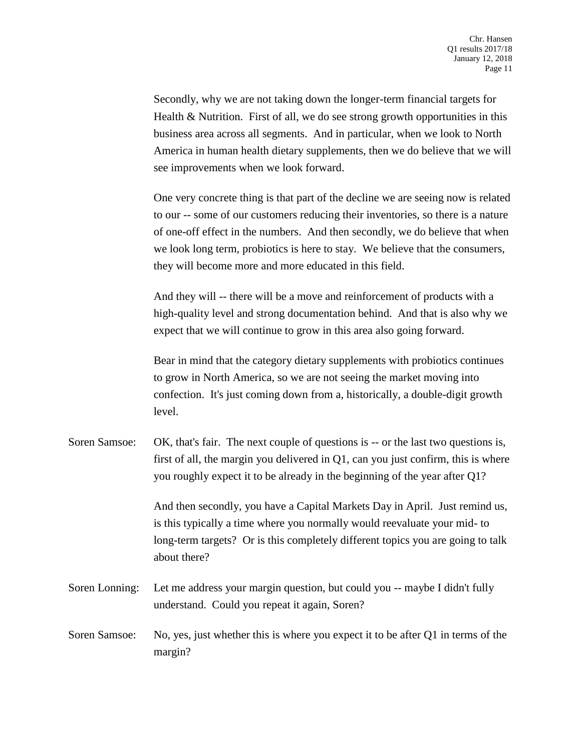Secondly, why we are not taking down the longer-term financial targets for Health & Nutrition. First of all, we do see strong growth opportunities in this business area across all segments. And in particular, when we look to North America in human health dietary supplements, then we do believe that we will see improvements when we look forward.

One very concrete thing is that part of the decline we are seeing now is related to our -- some of our customers reducing their inventories, so there is a nature of one-off effect in the numbers. And then secondly, we do believe that when we look long term, probiotics is here to stay. We believe that the consumers, they will become more and more educated in this field.

And they will -- there will be a move and reinforcement of products with a high-quality level and strong documentation behind. And that is also why we expect that we will continue to grow in this area also going forward.

Bear in mind that the category dietary supplements with probiotics continues to grow in North America, so we are not seeing the market moving into confection. It's just coming down from a, historically, a double-digit growth level.

Soren Samsoe: OK, that's fair. The next couple of questions is -- or the last two questions is, first of all, the margin you delivered in  $Q1$ , can you just confirm, this is where you roughly expect it to be already in the beginning of the year after Q1?

> And then secondly, you have a Capital Markets Day in April. Just remind us, is this typically a time where you normally would reevaluate your mid- to long-term targets? Or is this completely different topics you are going to talk about there?

- Soren Lonning: Let me address your margin question, but could you -- maybe I didn't fully understand. Could you repeat it again, Soren?
- Soren Samsoe: No, yes, just whether this is where you expect it to be after Q1 in terms of the margin?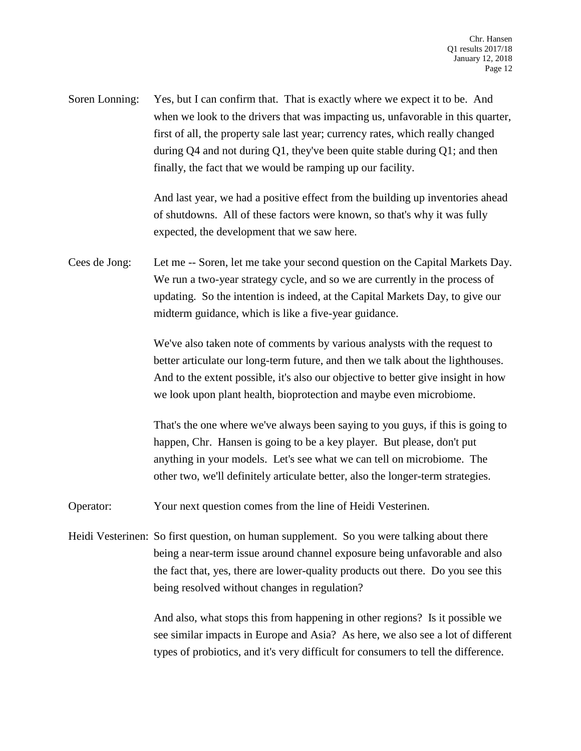Soren Lonning: Yes, but I can confirm that. That is exactly where we expect it to be. And when we look to the drivers that was impacting us, unfavorable in this quarter, first of all, the property sale last year; currency rates, which really changed during Q4 and not during Q1, they've been quite stable during Q1; and then finally, the fact that we would be ramping up our facility.

> And last year, we had a positive effect from the building up inventories ahead of shutdowns. All of these factors were known, so that's why it was fully expected, the development that we saw here.

Cees de Jong: Let me -- Soren, let me take your second question on the Capital Markets Day. We run a two-year strategy cycle, and so we are currently in the process of updating. So the intention is indeed, at the Capital Markets Day, to give our midterm guidance, which is like a five-year guidance.

> We've also taken note of comments by various analysts with the request to better articulate our long-term future, and then we talk about the lighthouses. And to the extent possible, it's also our objective to better give insight in how we look upon plant health, bioprotection and maybe even microbiome.

> That's the one where we've always been saying to you guys, if this is going to happen, Chr. Hansen is going to be a key player. But please, don't put anything in your models. Let's see what we can tell on microbiome. The other two, we'll definitely articulate better, also the longer-term strategies.

Operator: Your next question comes from the line of Heidi Vesterinen.

Heidi Vesterinen: So first question, on human supplement. So you were talking about there being a near-term issue around channel exposure being unfavorable and also the fact that, yes, there are lower-quality products out there. Do you see this being resolved without changes in regulation?

> And also, what stops this from happening in other regions? Is it possible we see similar impacts in Europe and Asia? As here, we also see a lot of different types of probiotics, and it's very difficult for consumers to tell the difference.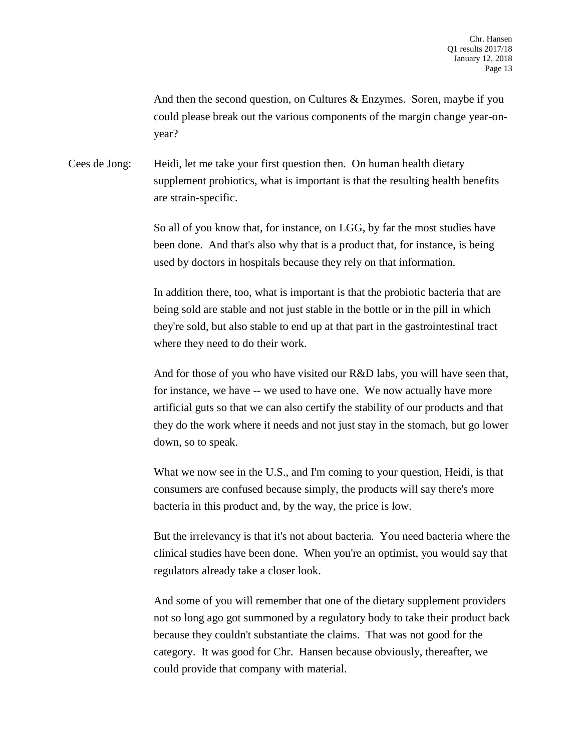And then the second question, on Cultures & Enzymes. Soren, maybe if you could please break out the various components of the margin change year-onyear?

Cees de Jong: Heidi, let me take your first question then. On human health dietary supplement probiotics, what is important is that the resulting health benefits are strain-specific.

> So all of you know that, for instance, on LGG, by far the most studies have been done. And that's also why that is a product that, for instance, is being used by doctors in hospitals because they rely on that information.

In addition there, too, what is important is that the probiotic bacteria that are being sold are stable and not just stable in the bottle or in the pill in which they're sold, but also stable to end up at that part in the gastrointestinal tract where they need to do their work.

And for those of you who have visited our R&D labs, you will have seen that, for instance, we have -- we used to have one. We now actually have more artificial guts so that we can also certify the stability of our products and that they do the work where it needs and not just stay in the stomach, but go lower down, so to speak.

What we now see in the U.S., and I'm coming to your question, Heidi, is that consumers are confused because simply, the products will say there's more bacteria in this product and, by the way, the price is low.

But the irrelevancy is that it's not about bacteria. You need bacteria where the clinical studies have been done. When you're an optimist, you would say that regulators already take a closer look.

And some of you will remember that one of the dietary supplement providers not so long ago got summoned by a regulatory body to take their product back because they couldn't substantiate the claims. That was not good for the category. It was good for Chr. Hansen because obviously, thereafter, we could provide that company with material.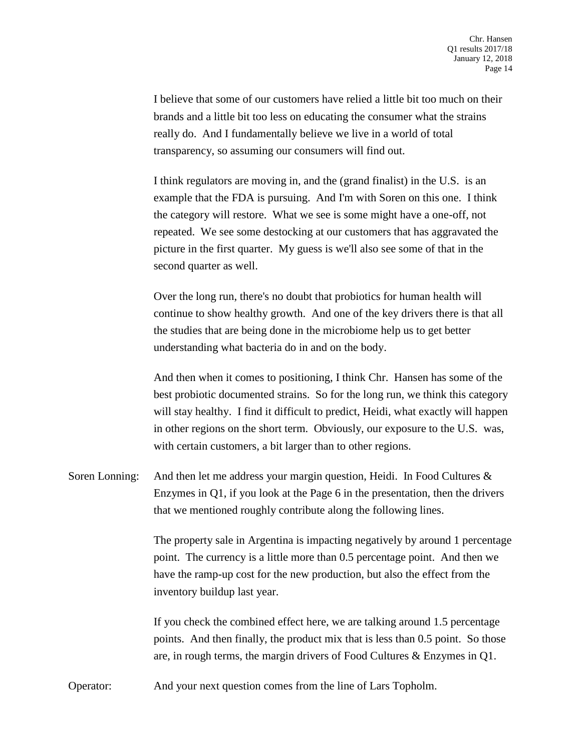I believe that some of our customers have relied a little bit too much on their brands and a little bit too less on educating the consumer what the strains really do. And I fundamentally believe we live in a world of total transparency, so assuming our consumers will find out.

I think regulators are moving in, and the (grand finalist) in the U.S. is an example that the FDA is pursuing. And I'm with Soren on this one. I think the category will restore. What we see is some might have a one-off, not repeated. We see some destocking at our customers that has aggravated the picture in the first quarter. My guess is we'll also see some of that in the second quarter as well.

Over the long run, there's no doubt that probiotics for human health will continue to show healthy growth. And one of the key drivers there is that all the studies that are being done in the microbiome help us to get better understanding what bacteria do in and on the body.

And then when it comes to positioning, I think Chr. Hansen has some of the best probiotic documented strains. So for the long run, we think this category will stay healthy. I find it difficult to predict, Heidi, what exactly will happen in other regions on the short term. Obviously, our exposure to the U.S. was, with certain customers, a bit larger than to other regions.

Soren Lonning: And then let me address your margin question, Heidi. In Food Cultures & Enzymes in Q1, if you look at the Page 6 in the presentation, then the drivers that we mentioned roughly contribute along the following lines.

> The property sale in Argentina is impacting negatively by around 1 percentage point. The currency is a little more than 0.5 percentage point. And then we have the ramp-up cost for the new production, but also the effect from the inventory buildup last year.

If you check the combined effect here, we are talking around 1.5 percentage points. And then finally, the product mix that is less than 0.5 point. So those are, in rough terms, the margin drivers of Food Cultures & Enzymes in Q1.

Operator: And your next question comes from the line of Lars Topholm.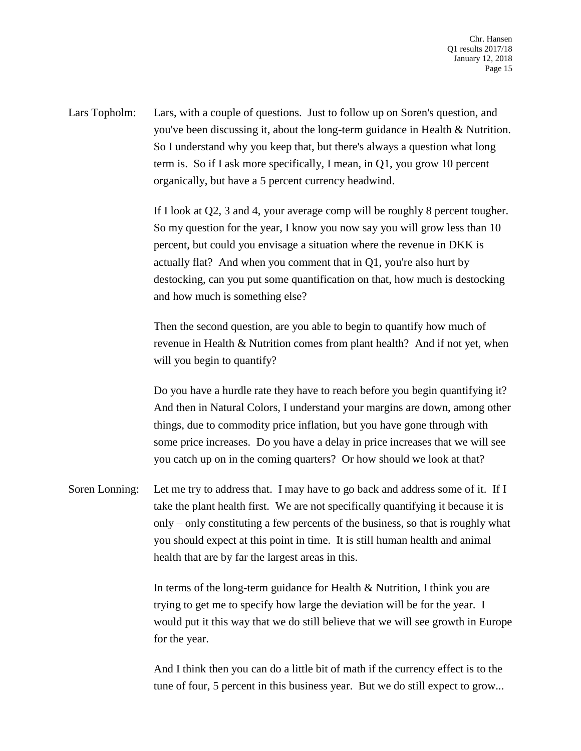Lars Topholm: Lars, with a couple of questions. Just to follow up on Soren's question, and you've been discussing it, about the long-term guidance in Health & Nutrition. So I understand why you keep that, but there's always a question what long term is. So if I ask more specifically, I mean, in Q1, you grow 10 percent organically, but have a 5 percent currency headwind.

> If I look at Q2, 3 and 4, your average comp will be roughly 8 percent tougher. So my question for the year, I know you now say you will grow less than 10 percent, but could you envisage a situation where the revenue in DKK is actually flat? And when you comment that in Q1, you're also hurt by destocking, can you put some quantification on that, how much is destocking and how much is something else?

> Then the second question, are you able to begin to quantify how much of revenue in Health & Nutrition comes from plant health? And if not yet, when will you begin to quantify?

> Do you have a hurdle rate they have to reach before you begin quantifying it? And then in Natural Colors, I understand your margins are down, among other things, due to commodity price inflation, but you have gone through with some price increases. Do you have a delay in price increases that we will see you catch up on in the coming quarters? Or how should we look at that?

Soren Lonning: Let me try to address that. I may have to go back and address some of it. If I take the plant health first. We are not specifically quantifying it because it is only – only constituting a few percents of the business, so that is roughly what you should expect at this point in time. It is still human health and animal health that are by far the largest areas in this.

> In terms of the long-term guidance for Health & Nutrition, I think you are trying to get me to specify how large the deviation will be for the year. I would put it this way that we do still believe that we will see growth in Europe for the year.

And I think then you can do a little bit of math if the currency effect is to the tune of four, 5 percent in this business year. But we do still expect to grow...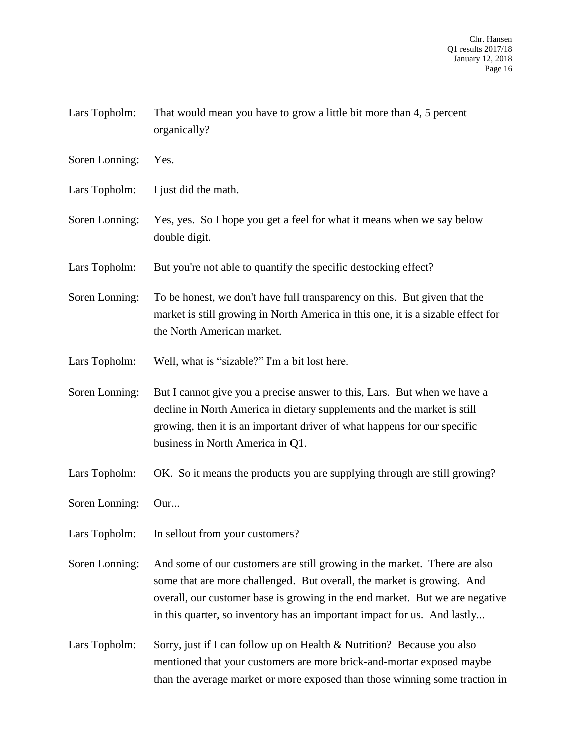| Lars Topholm: | That would mean you have to grow a little bit more than 4, 5 percent |
|---------------|----------------------------------------------------------------------|
|               | organically?                                                         |

- Soren Lonning: Yes.
- Lars Topholm: I just did the math.
- Soren Lonning: Yes, yes. So I hope you get a feel for what it means when we say below double digit.
- Lars Topholm: But you're not able to quantify the specific destocking effect?
- Soren Lonning: To be honest, we don't have full transparency on this. But given that the market is still growing in North America in this one, it is a sizable effect for the North American market.
- Lars Topholm: Well, what is "sizable?" I'm a bit lost here.
- Soren Lonning: But I cannot give you a precise answer to this, Lars. But when we have a decline in North America in dietary supplements and the market is still growing, then it is an important driver of what happens for our specific business in North America in Q1.
- Lars Topholm: OK. So it means the products you are supplying through are still growing?
- Soren Lonning: Our...
- Lars Topholm: In sellout from your customers?
- Soren Lonning: And some of our customers are still growing in the market. There are also some that are more challenged. But overall, the market is growing. And overall, our customer base is growing in the end market. But we are negative in this quarter, so inventory has an important impact for us. And lastly...
- Lars Topholm: Sorry, just if I can follow up on Health & Nutrition? Because you also mentioned that your customers are more brick-and-mortar exposed maybe than the average market or more exposed than those winning some traction in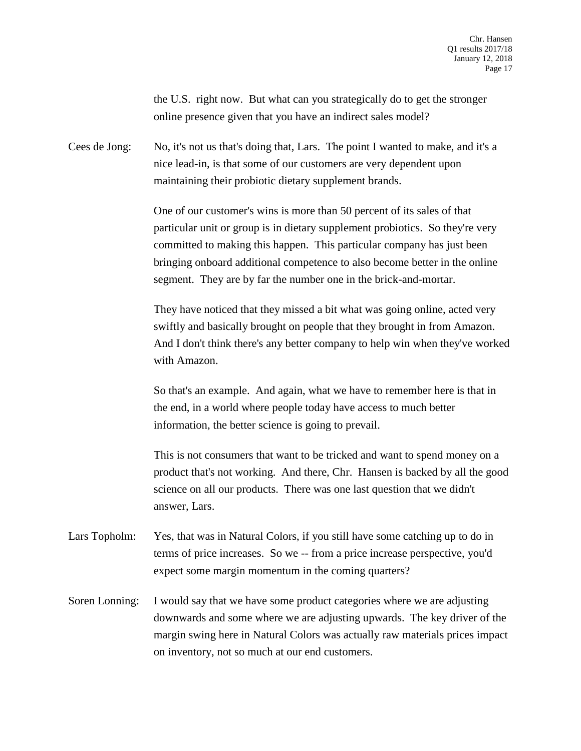the U.S. right now. But what can you strategically do to get the stronger online presence given that you have an indirect sales model?

Cees de Jong: No, it's not us that's doing that, Lars. The point I wanted to make, and it's a nice lead-in, is that some of our customers are very dependent upon maintaining their probiotic dietary supplement brands.

> One of our customer's wins is more than 50 percent of its sales of that particular unit or group is in dietary supplement probiotics. So they're very committed to making this happen. This particular company has just been bringing onboard additional competence to also become better in the online segment. They are by far the number one in the brick-and-mortar.

They have noticed that they missed a bit what was going online, acted very swiftly and basically brought on people that they brought in from Amazon. And I don't think there's any better company to help win when they've worked with Amazon.

So that's an example. And again, what we have to remember here is that in the end, in a world where people today have access to much better information, the better science is going to prevail.

This is not consumers that want to be tricked and want to spend money on a product that's not working. And there, Chr. Hansen is backed by all the good science on all our products. There was one last question that we didn't answer, Lars.

- Lars Topholm: Yes, that was in Natural Colors, if you still have some catching up to do in terms of price increases. So we -- from a price increase perspective, you'd expect some margin momentum in the coming quarters?
- Soren Lonning: I would say that we have some product categories where we are adjusting downwards and some where we are adjusting upwards. The key driver of the margin swing here in Natural Colors was actually raw materials prices impact on inventory, not so much at our end customers.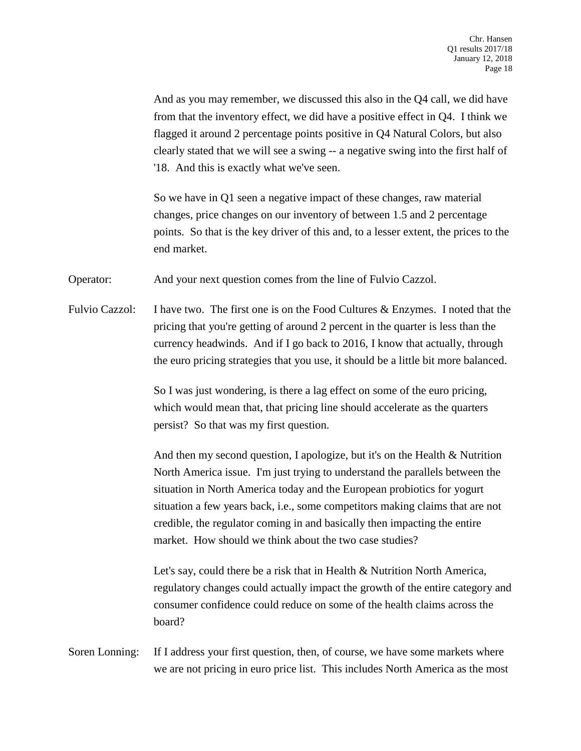And as you may remember, we discussed this also in the Q4 call, we did have from that the inventory effect, we did have a positive effect in Q4. I think we flagged it around 2 percentage points positive in Q4 Natural Colors, but also clearly stated that we will see a swing -- a negative swing into the first half of '18. And this is exactly what we've seen.

So we have in Q1 seen a negative impact of these changes, raw material changes, price changes on our inventory of between 1.5 and 2 percentage points. So that is the key driver of this and, to a lesser extent, the prices to the end market.

Operator: And your next question comes from the line of Fulvio Cazzol.

Fulvio Cazzol: I have two. The first one is on the Food Cultures & Enzymes. I noted that the pricing that you're getting of around 2 percent in the quarter is less than the currency headwinds. And if I go back to 2016, I know that actually, through the euro pricing strategies that you use, it should be a little bit more balanced.

> So I was just wondering, is there a lag effect on some of the euro pricing, which would mean that, that pricing line should accelerate as the quarters persist? So that was my first question.

And then my second question, I apologize, but it's on the Health & Nutrition North America issue. I'm just trying to understand the parallels between the situation in North America today and the European probiotics for yogurt situation a few years back, i.e., some competitors making claims that are not credible, the regulator coming in and basically then impacting the entire market. How should we think about the two case studies?

Let's say, could there be a risk that in Health & Nutrition North America, regulatory changes could actually impact the growth of the entire category and consumer confidence could reduce on some of the health claims across the board?

Soren Lonning: If I address your first question, then, of course, we have some markets where we are not pricing in euro price list. This includes North America as the most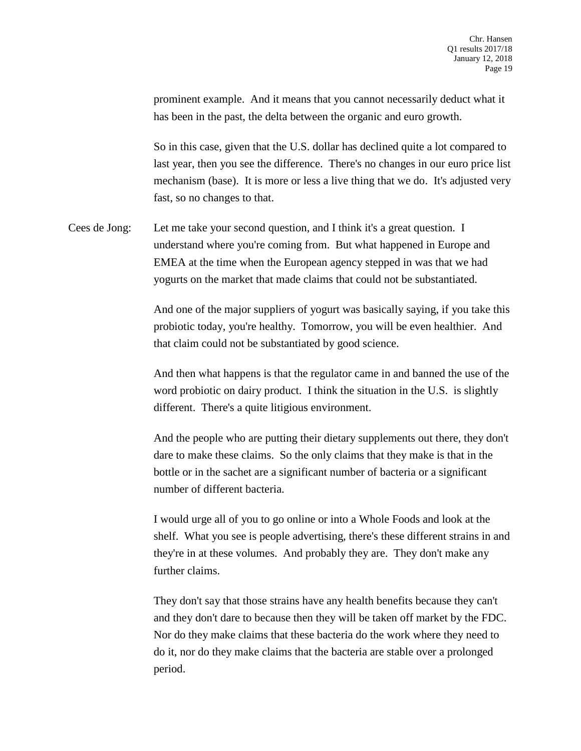prominent example. And it means that you cannot necessarily deduct what it has been in the past, the delta between the organic and euro growth.

So in this case, given that the U.S. dollar has declined quite a lot compared to last year, then you see the difference. There's no changes in our euro price list mechanism (base). It is more or less a live thing that we do. It's adjusted very fast, so no changes to that.

Cees de Jong: Let me take your second question, and I think it's a great question. I understand where you're coming from. But what happened in Europe and EMEA at the time when the European agency stepped in was that we had yogurts on the market that made claims that could not be substantiated.

> And one of the major suppliers of yogurt was basically saying, if you take this probiotic today, you're healthy. Tomorrow, you will be even healthier. And that claim could not be substantiated by good science.

> And then what happens is that the regulator came in and banned the use of the word probiotic on dairy product. I think the situation in the U.S. is slightly different. There's a quite litigious environment.

> And the people who are putting their dietary supplements out there, they don't dare to make these claims. So the only claims that they make is that in the bottle or in the sachet are a significant number of bacteria or a significant number of different bacteria.

> I would urge all of you to go online or into a Whole Foods and look at the shelf. What you see is people advertising, there's these different strains in and they're in at these volumes. And probably they are. They don't make any further claims.

They don't say that those strains have any health benefits because they can't and they don't dare to because then they will be taken off market by the FDC. Nor do they make claims that these bacteria do the work where they need to do it, nor do they make claims that the bacteria are stable over a prolonged period.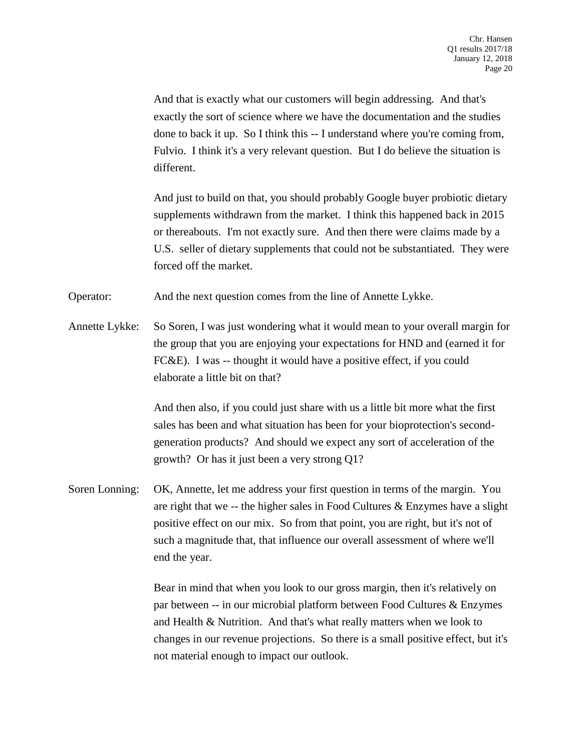And that is exactly what our customers will begin addressing. And that's exactly the sort of science where we have the documentation and the studies done to back it up. So I think this -- I understand where you're coming from, Fulvio. I think it's a very relevant question. But I do believe the situation is different.

And just to build on that, you should probably Google buyer probiotic dietary supplements withdrawn from the market. I think this happened back in 2015 or thereabouts. I'm not exactly sure. And then there were claims made by a U.S. seller of dietary supplements that could not be substantiated. They were forced off the market.

Operator: And the next question comes from the line of Annette Lykke.

Annette Lykke: So Soren, I was just wondering what it would mean to your overall margin for the group that you are enjoying your expectations for HND and (earned it for FC&E). I was -- thought it would have a positive effect, if you could elaborate a little bit on that?

> And then also, if you could just share with us a little bit more what the first sales has been and what situation has been for your bioprotection's secondgeneration products? And should we expect any sort of acceleration of the growth? Or has it just been a very strong Q1?

Soren Lonning: OK, Annette, let me address your first question in terms of the margin. You are right that we -- the higher sales in Food Cultures & Enzymes have a slight positive effect on our mix. So from that point, you are right, but it's not of such a magnitude that, that influence our overall assessment of where we'll end the year.

> Bear in mind that when you look to our gross margin, then it's relatively on par between -- in our microbial platform between Food Cultures & Enzymes and Health & Nutrition. And that's what really matters when we look to changes in our revenue projections. So there is a small positive effect, but it's not material enough to impact our outlook.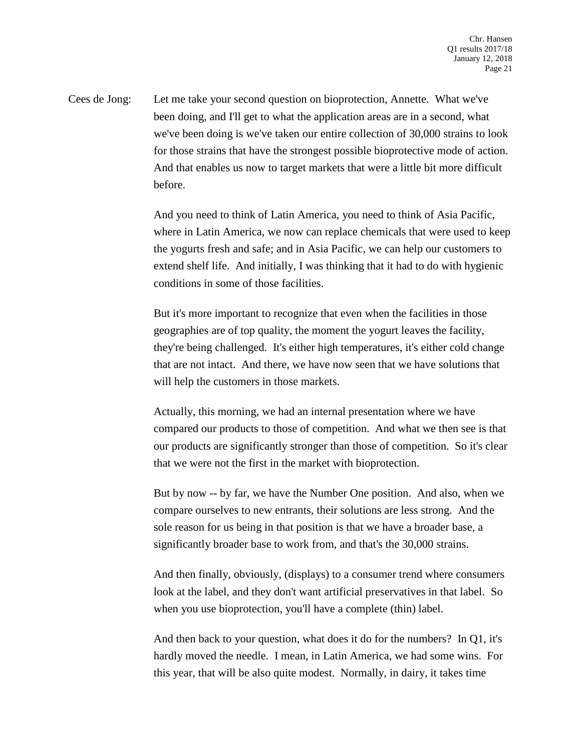Cees de Jong: Let me take your second question on bioprotection, Annette. What we've been doing, and I'll get to what the application areas are in a second, what we've been doing is we've taken our entire collection of 30,000 strains to look for those strains that have the strongest possible bioprotective mode of action. And that enables us now to target markets that were a little bit more difficult before.

> And you need to think of Latin America, you need to think of Asia Pacific, where in Latin America, we now can replace chemicals that were used to keep the yogurts fresh and safe; and in Asia Pacific, we can help our customers to extend shelf life. And initially, I was thinking that it had to do with hygienic conditions in some of those facilities.

But it's more important to recognize that even when the facilities in those geographies are of top quality, the moment the yogurt leaves the facility, they're being challenged. It's either high temperatures, it's either cold change that are not intact. And there, we have now seen that we have solutions that will help the customers in those markets.

Actually, this morning, we had an internal presentation where we have compared our products to those of competition. And what we then see is that our products are significantly stronger than those of competition. So it's clear that we were not the first in the market with bioprotection.

But by now -- by far, we have the Number One position. And also, when we compare ourselves to new entrants, their solutions are less strong. And the sole reason for us being in that position is that we have a broader base, a significantly broader base to work from, and that's the 30,000 strains.

And then finally, obviously, (displays) to a consumer trend where consumers look at the label, and they don't want artificial preservatives in that label. So when you use bioprotection, you'll have a complete (thin) label.

And then back to your question, what does it do for the numbers? In Q1, it's hardly moved the needle. I mean, in Latin America, we had some wins. For this year, that will be also quite modest. Normally, in dairy, it takes time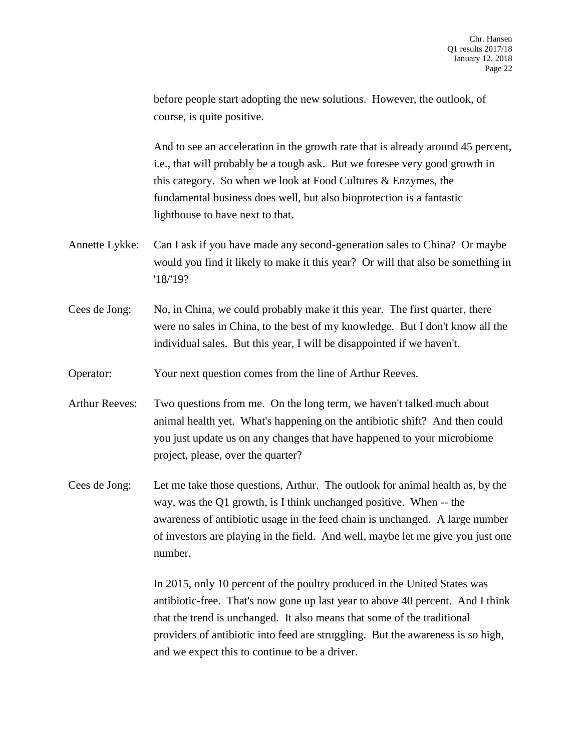before people start adopting the new solutions. However, the outlook, of course, is quite positive.

And to see an acceleration in the growth rate that is already around 45 percent, i.e., that will probably be a tough ask. But we foresee very good growth in this category. So when we look at Food Cultures & Enzymes, the fundamental business does well, but also bioprotection is a fantastic lighthouse to have next to that.

- Annette Lykke: Can I ask if you have made any second-generation sales to China? Or maybe would you find it likely to make it this year? Or will that also be something in '18/'19?
- Cees de Jong: No, in China, we could probably make it this year. The first quarter, there were no sales in China, to the best of my knowledge. But I don't know all the individual sales. But this year, I will be disappointed if we haven't.

Operator: Your next question comes from the line of Arthur Reeves.

- Arthur Reeves: Two questions from me. On the long term, we haven't talked much about animal health yet. What's happening on the antibiotic shift? And then could you just update us on any changes that have happened to your microbiome project, please, over the quarter?
- Cees de Jong: Let me take those questions, Arthur. The outlook for animal health as, by the way, was the Q1 growth, is I think unchanged positive. When -- the awareness of antibiotic usage in the feed chain is unchanged. A large number of investors are playing in the field. And well, maybe let me give you just one number.

In 2015, only 10 percent of the poultry produced in the United States was antibiotic-free. That's now gone up last year to above 40 percent. And I think that the trend is unchanged. It also means that some of the traditional providers of antibiotic into feed are struggling. But the awareness is so high, and we expect this to continue to be a driver.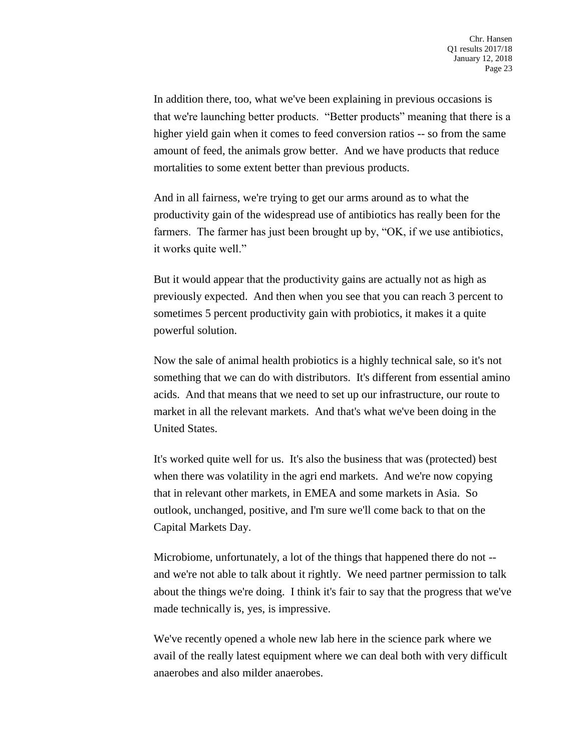In addition there, too, what we've been explaining in previous occasions is that we're launching better products. "Better products" meaning that there is a higher yield gain when it comes to feed conversion ratios -- so from the same amount of feed, the animals grow better. And we have products that reduce mortalities to some extent better than previous products.

And in all fairness, we're trying to get our arms around as to what the productivity gain of the widespread use of antibiotics has really been for the farmers. The farmer has just been brought up by, "OK, if we use antibiotics, it works quite well."

But it would appear that the productivity gains are actually not as high as previously expected. And then when you see that you can reach 3 percent to sometimes 5 percent productivity gain with probiotics, it makes it a quite powerful solution.

Now the sale of animal health probiotics is a highly technical sale, so it's not something that we can do with distributors. It's different from essential amino acids. And that means that we need to set up our infrastructure, our route to market in all the relevant markets. And that's what we've been doing in the United States.

It's worked quite well for us. It's also the business that was (protected) best when there was volatility in the agri end markets. And we're now copying that in relevant other markets, in EMEA and some markets in Asia. So outlook, unchanged, positive, and I'm sure we'll come back to that on the Capital Markets Day.

Microbiome, unfortunately, a lot of the things that happened there do not - and we're not able to talk about it rightly. We need partner permission to talk about the things we're doing. I think it's fair to say that the progress that we've made technically is, yes, is impressive.

We've recently opened a whole new lab here in the science park where we avail of the really latest equipment where we can deal both with very difficult anaerobes and also milder anaerobes.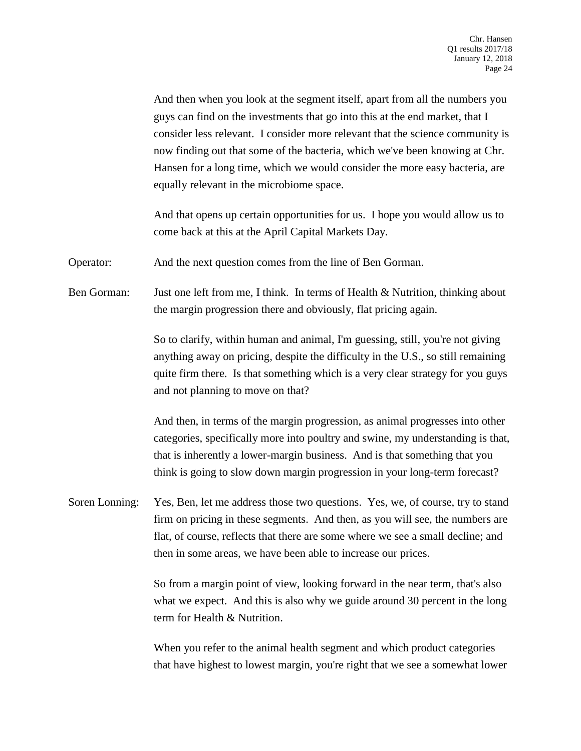And then when you look at the segment itself, apart from all the numbers you guys can find on the investments that go into this at the end market, that I consider less relevant. I consider more relevant that the science community is now finding out that some of the bacteria, which we've been knowing at Chr. Hansen for a long time, which we would consider the more easy bacteria, are equally relevant in the microbiome space.

And that opens up certain opportunities for us. I hope you would allow us to come back at this at the April Capital Markets Day.

Operator: And the next question comes from the line of Ben Gorman.

Ben Gorman: Just one left from me, I think. In terms of Health & Nutrition, thinking about the margin progression there and obviously, flat pricing again.

> So to clarify, within human and animal, I'm guessing, still, you're not giving anything away on pricing, despite the difficulty in the U.S., so still remaining quite firm there. Is that something which is a very clear strategy for you guys and not planning to move on that?

> And then, in terms of the margin progression, as animal progresses into other categories, specifically more into poultry and swine, my understanding is that, that is inherently a lower-margin business. And is that something that you think is going to slow down margin progression in your long-term forecast?

Soren Lonning: Yes, Ben, let me address those two questions. Yes, we, of course, try to stand firm on pricing in these segments. And then, as you will see, the numbers are flat, of course, reflects that there are some where we see a small decline; and then in some areas, we have been able to increase our prices.

> So from a margin point of view, looking forward in the near term, that's also what we expect. And this is also why we guide around 30 percent in the long term for Health & Nutrition.

> When you refer to the animal health segment and which product categories that have highest to lowest margin, you're right that we see a somewhat lower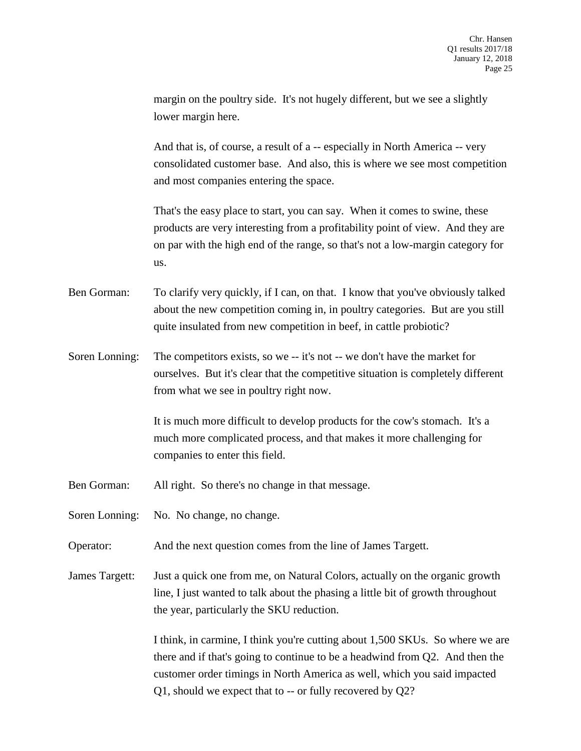margin on the poultry side. It's not hugely different, but we see a slightly lower margin here.

And that is, of course, a result of a -- especially in North America -- very consolidated customer base. And also, this is where we see most competition and most companies entering the space.

That's the easy place to start, you can say. When it comes to swine, these products are very interesting from a profitability point of view. And they are on par with the high end of the range, so that's not a low-margin category for us.

Ben Gorman: To clarify very quickly, if I can, on that. I know that you've obviously talked about the new competition coming in, in poultry categories. But are you still quite insulated from new competition in beef, in cattle probiotic?

Soren Lonning: The competitors exists, so we -- it's not -- we don't have the market for ourselves. But it's clear that the competitive situation is completely different from what we see in poultry right now.

> It is much more difficult to develop products for the cow's stomach. It's a much more complicated process, and that makes it more challenging for companies to enter this field.

Ben Gorman: All right. So there's no change in that message.

Soren Lonning: No. No change, no change.

Operator: And the next question comes from the line of James Targett.

James Targett: Just a quick one from me, on Natural Colors, actually on the organic growth line, I just wanted to talk about the phasing a little bit of growth throughout the year, particularly the SKU reduction.

> I think, in carmine, I think you're cutting about 1,500 SKUs. So where we are there and if that's going to continue to be a headwind from Q2. And then the customer order timings in North America as well, which you said impacted Q1, should we expect that to -- or fully recovered by Q2?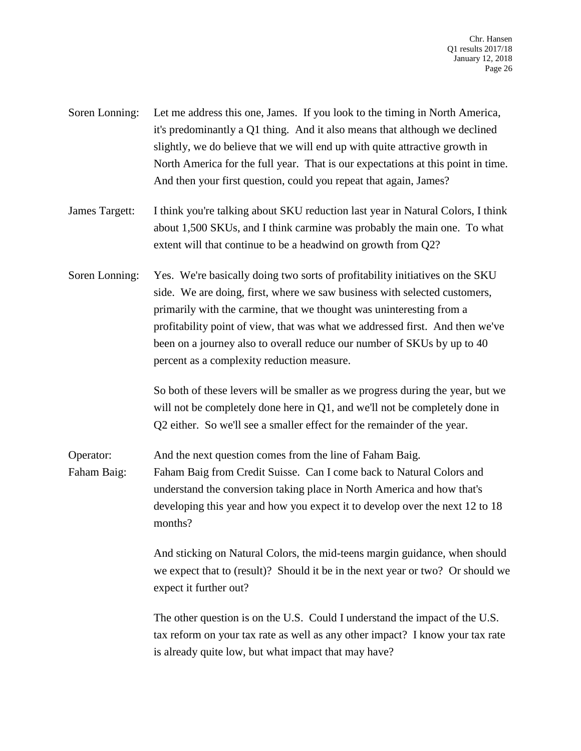- Soren Lonning: Let me address this one, James. If you look to the timing in North America, it's predominantly a Q1 thing. And it also means that although we declined slightly, we do believe that we will end up with quite attractive growth in North America for the full year. That is our expectations at this point in time. And then your first question, could you repeat that again, James?
- James Targett: I think you're talking about SKU reduction last year in Natural Colors, I think about 1,500 SKUs, and I think carmine was probably the main one. To what extent will that continue to be a headwind on growth from Q2?
- Soren Lonning: Yes. We're basically doing two sorts of profitability initiatives on the SKU side. We are doing, first, where we saw business with selected customers, primarily with the carmine, that we thought was uninteresting from a profitability point of view, that was what we addressed first. And then we've been on a journey also to overall reduce our number of SKUs by up to 40 percent as a complexity reduction measure.

So both of these levers will be smaller as we progress during the year, but we will not be completely done here in Q1, and we'll not be completely done in Q2 either. So we'll see a smaller effect for the remainder of the year.

Operator: And the next question comes from the line of Faham Baig. Faham Baig: Faham Baig from Credit Suisse. Can I come back to Natural Colors and understand the conversion taking place in North America and how that's developing this year and how you expect it to develop over the next 12 to 18 months?

> And sticking on Natural Colors, the mid-teens margin guidance, when should we expect that to (result)? Should it be in the next year or two? Or should we expect it further out?

The other question is on the U.S. Could I understand the impact of the U.S. tax reform on your tax rate as well as any other impact? I know your tax rate is already quite low, but what impact that may have?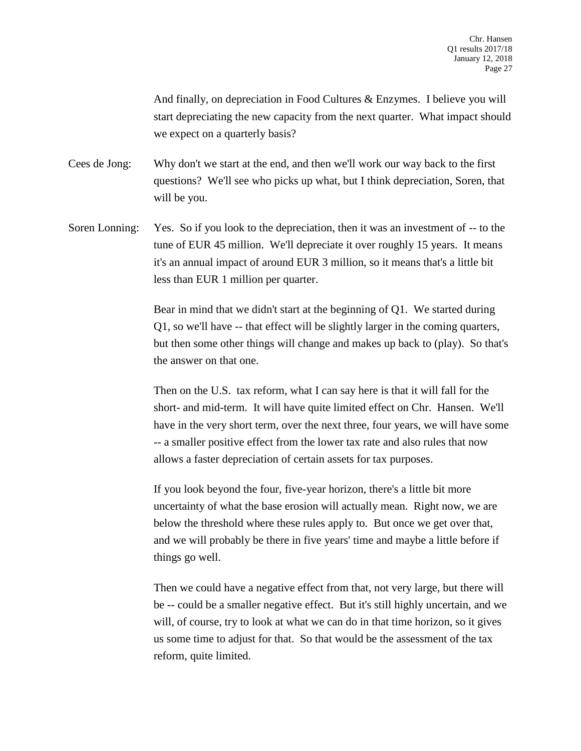And finally, on depreciation in Food Cultures & Enzymes. I believe you will start depreciating the new capacity from the next quarter. What impact should we expect on a quarterly basis?

Cees de Jong: Why don't we start at the end, and then we'll work our way back to the first questions? We'll see who picks up what, but I think depreciation, Soren, that will be you.

Soren Lonning: Yes. So if you look to the depreciation, then it was an investment of -- to the tune of EUR 45 million. We'll depreciate it over roughly 15 years. It means it's an annual impact of around EUR 3 million, so it means that's a little bit less than EUR 1 million per quarter.

> Bear in mind that we didn't start at the beginning of Q1. We started during Q1, so we'll have -- that effect will be slightly larger in the coming quarters, but then some other things will change and makes up back to (play). So that's the answer on that one.

> Then on the U.S. tax reform, what I can say here is that it will fall for the short- and mid-term. It will have quite limited effect on Chr. Hansen. We'll have in the very short term, over the next three, four years, we will have some -- a smaller positive effect from the lower tax rate and also rules that now allows a faster depreciation of certain assets for tax purposes.

If you look beyond the four, five-year horizon, there's a little bit more uncertainty of what the base erosion will actually mean. Right now, we are below the threshold where these rules apply to. But once we get over that, and we will probably be there in five years' time and maybe a little before if things go well.

Then we could have a negative effect from that, not very large, but there will be -- could be a smaller negative effect. But it's still highly uncertain, and we will, of course, try to look at what we can do in that time horizon, so it gives us some time to adjust for that. So that would be the assessment of the tax reform, quite limited.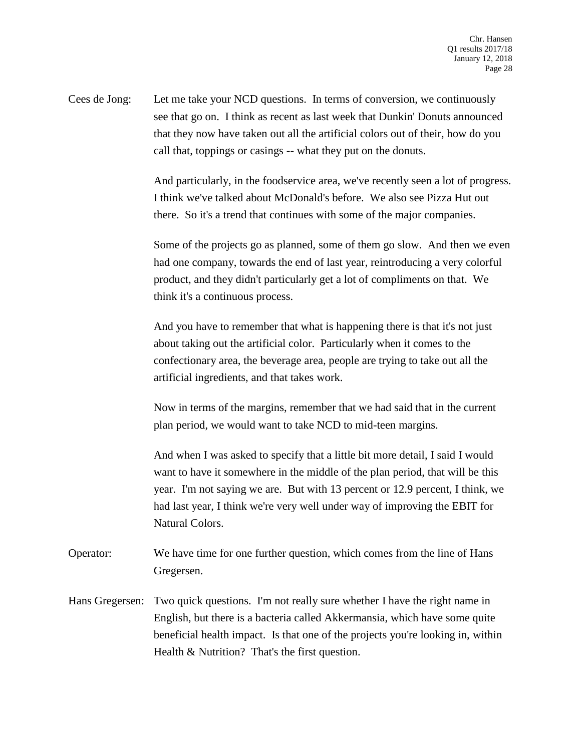Cees de Jong: Let me take your NCD questions. In terms of conversion, we continuously see that go on. I think as recent as last week that Dunkin' Donuts announced that they now have taken out all the artificial colors out of their, how do you call that, toppings or casings -- what they put on the donuts.

> And particularly, in the foodservice area, we've recently seen a lot of progress. I think we've talked about McDonald's before. We also see Pizza Hut out there. So it's a trend that continues with some of the major companies.

> Some of the projects go as planned, some of them go slow. And then we even had one company, towards the end of last year, reintroducing a very colorful product, and they didn't particularly get a lot of compliments on that. We think it's a continuous process.

And you have to remember that what is happening there is that it's not just about taking out the artificial color. Particularly when it comes to the confectionary area, the beverage area, people are trying to take out all the artificial ingredients, and that takes work.

Now in terms of the margins, remember that we had said that in the current plan period, we would want to take NCD to mid-teen margins.

And when I was asked to specify that a little bit more detail, I said I would want to have it somewhere in the middle of the plan period, that will be this year. I'm not saying we are. But with 13 percent or 12.9 percent, I think, we had last year, I think we're very well under way of improving the EBIT for Natural Colors.

- Operator: We have time for one further question, which comes from the line of Hans Gregersen.
- Hans Gregersen: Two quick questions. I'm not really sure whether I have the right name in English, but there is a bacteria called Akkermansia, which have some quite beneficial health impact. Is that one of the projects you're looking in, within Health & Nutrition? That's the first question.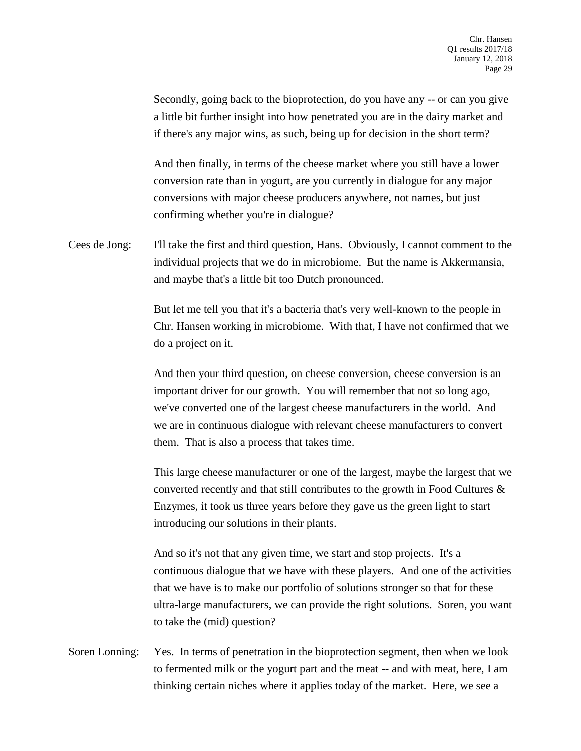Secondly, going back to the bioprotection, do you have any -- or can you give a little bit further insight into how penetrated you are in the dairy market and if there's any major wins, as such, being up for decision in the short term?

And then finally, in terms of the cheese market where you still have a lower conversion rate than in yogurt, are you currently in dialogue for any major conversions with major cheese producers anywhere, not names, but just confirming whether you're in dialogue?

Cees de Jong: I'll take the first and third question, Hans. Obviously, I cannot comment to the individual projects that we do in microbiome. But the name is Akkermansia, and maybe that's a little bit too Dutch pronounced.

> But let me tell you that it's a bacteria that's very well-known to the people in Chr. Hansen working in microbiome. With that, I have not confirmed that we do a project on it.

And then your third question, on cheese conversion, cheese conversion is an important driver for our growth. You will remember that not so long ago, we've converted one of the largest cheese manufacturers in the world. And we are in continuous dialogue with relevant cheese manufacturers to convert them. That is also a process that takes time.

This large cheese manufacturer or one of the largest, maybe the largest that we converted recently and that still contributes to the growth in Food Cultures & Enzymes, it took us three years before they gave us the green light to start introducing our solutions in their plants.

And so it's not that any given time, we start and stop projects. It's a continuous dialogue that we have with these players. And one of the activities that we have is to make our portfolio of solutions stronger so that for these ultra-large manufacturers, we can provide the right solutions. Soren, you want to take the (mid) question?

Soren Lonning: Yes. In terms of penetration in the bioprotection segment, then when we look to fermented milk or the yogurt part and the meat -- and with meat, here, I am thinking certain niches where it applies today of the market. Here, we see a